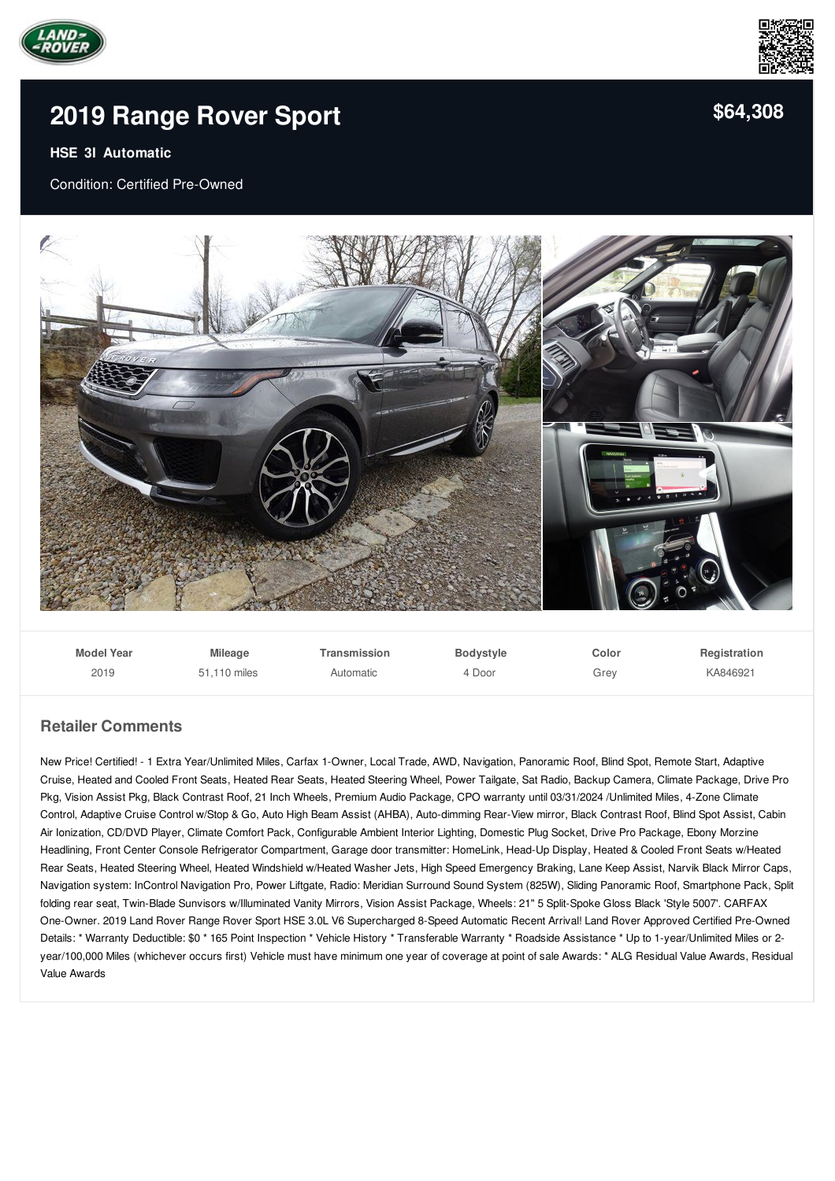



## **2019 [Range](/used-certified/pdf/) Rover Sport**

## **HSE 3l Automatic**

Condition: Certified Pre-Owned



| <b>Model Year</b> | <b>Mileage</b> | Transmission | <b>Bodystyle</b> | Color | Registration |
|-------------------|----------------|--------------|------------------|-------|--------------|
| 2019              | 51.110 miles   | Automatic    | 4 Door           | Grev  | KA846921     |

## **Retailer Comments**

New Price! Certified! - 1 Extra Year/Unlimited Miles, Carfax 1-Owner, Local Trade, AWD, Navigation, Panoramic Roof, Blind Spot, Remote Start, Adaptive Cruise, Heated and Cooled Front Seats, Heated Rear Seats, Heated Steering Wheel, Power Tailgate, Sat Radio, Backup Camera, Climate Package, Drive Pro Pkg, Vision Assist Pkg, Black Contrast Roof, 21 Inch Wheels, Premium Audio Package, CPO warranty until 03/31/2024 /Unlimited Miles, 4-Zone Climate Control, Adaptive Cruise Control w/Stop & Go, Auto High Beam Assist (AHBA), Auto-dimming Rear-View mirror, Black Contrast Roof, Blind Spot Assist, Cabin Air Ionization, CD/DVD Player, Climate Comfort Pack, Configurable Ambient Interior Lighting, Domestic Plug Socket, Drive Pro Package, Ebony Morzine Headlining, Front Center Console Refrigerator Compartment, Garage door transmitter: HomeLink, Head-Up Display, Heated & Cooled Front Seats w/Heated Rear Seats, Heated Steering Wheel, Heated Windshield w/Heated Washer Jets, High Speed Emergency Braking, Lane Keep Assist, Narvik Black Mirror Caps, Navigation system: InControl Navigation Pro, Power Liftgate, Radio: Meridian Surround Sound System (825W), Sliding Panoramic Roof, Smartphone Pack, Split folding rear seat, Twin-Blade Sunvisors w/Illuminated Vanity Mirrors, Vision Assist Package, Wheels: 21" 5 Split-Spoke Gloss Black 'Style 5007'. CARFAX One-Owner. 2019 Land Rover Range Rover Sport HSE 3.0L V6 Supercharged 8-Speed Automatic Recent Arrival! Land Rover Approved Certified Pre-Owned Details: \* Warranty Deductible: \$0 \* 165 Point Inspection \* Vehicle History \* Transferable Warranty \* Roadside Assistance \* Up to 1-year/Unlimited Miles or 2 year/100,000 Miles (whichever occurs first) Vehicle must have minimum one year of coverage at point of sale Awards: \* ALG Residual Value Awards, Residual Value Awards

**[\\$64,308](/used-certified/pdf/)**